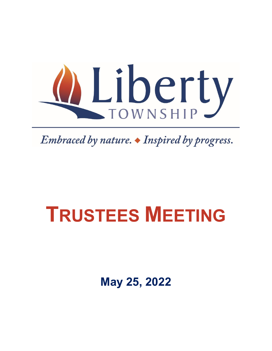

Embraced by nature.  $\blacklozenge$  Inspired by progress.

# **TRUSTEES MEETING**

**May 25, 2022**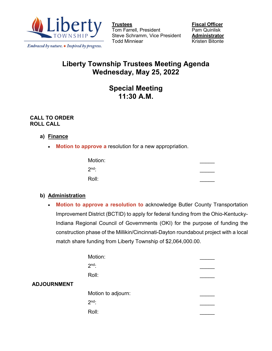

Embraced by nature. • Inspired by progress.

Tom Farrell, President Steve Schramm, Vice President **Administrator** Todd Minniear **Kristen Bitonte** 

**<u>Fiscal Officer</u><br>Pam Quinlisk** 

# **Liberty Township Trustees Meeting Agenda Wednesday, May 25, 2022**

# **Special Meeting 11:30 A.M.**

#### **CALL TO ORDER ROLL CALL**

## **a) Finance**

• **Motion to approve a** resolution for a new appropriation.

| Motion: |  |
|---------|--|
| $2nd$ : |  |
| Roll:   |  |

#### **b) Administration**

• **Motion to approve a resolution to** acknowledge Butler County Transportation Improvement District (BCTID) to apply for federal funding from the Ohio-Kentucky-Indiana Regional Council of Governments (OKI) for the purpose of funding the construction phase of the Millikin/Cincinnati-Dayton roundabout project with a local match share funding from Liberty Township of \$2,064,000.00.

|                    | Motion:            |  |
|--------------------|--------------------|--|
|                    | $2nd$ :            |  |
|                    | Roll:              |  |
| <b>ADJOURNMENT</b> |                    |  |
|                    | Motion to adjourn: |  |
|                    | $2nd$ :            |  |
|                    | Roll:              |  |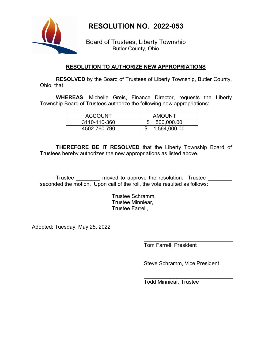**RESOLUTION NO. 2022-053**



Board of Trustees, Liberty Township Butler County, Ohio

#### **RESOLUTION TO AUTHORIZE NEW APPROPRIATIONS**

**RESOLVED** by the Board of Trustees of Liberty Township, Butler County, Ohio, that

**WHEREAS**, Michelle Greis, Finance Director, requests the Liberty Township Board of Trustees authorize the following new appropriations:

| <b>ACCOUNT</b> | <b>AMOUNT</b> |
|----------------|---------------|
| 3110-110-360   | 500,000.00    |
| 4502-760-790   | 1,564,000.00  |

**THEREFORE BE IT RESOLVED** that the Liberty Township Board of Trustees hereby authorizes the new appropriations as listed above.

Trustee \_\_\_\_\_\_\_\_ moved to approve the resolution. Trustee \_\_\_\_\_\_\_\_ seconded the motion. Upon call of the roll, the vote resulted as follows:

> Trustee Schramm, \_\_\_\_\_ Trustee Minniear, \_\_\_\_\_ Trustee Farrell, \_\_\_\_\_

Adopted: Tuesday, May 25, 2022

\_\_\_\_\_\_\_\_\_\_\_\_\_\_\_\_\_\_\_\_\_\_\_\_\_\_\_\_\_\_ Tom Farrell, President

\_\_\_\_\_\_\_\_\_\_\_\_\_\_\_\_\_\_\_\_\_\_\_\_\_\_\_\_\_\_ Steve Schramm, Vice President

\_\_\_\_\_\_\_\_\_\_\_\_\_\_\_\_\_\_\_\_\_\_\_\_\_\_\_\_\_\_ Todd Minniear, Trustee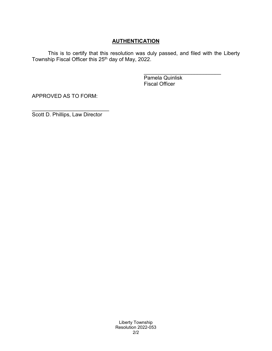## **AUTHENTICATION**

This is to certify that this resolution was duly passed, and filed with the Liberty Township Fiscal Officer this 25<sup>th</sup> day of May, 2022.

> \_\_\_\_\_\_\_\_\_\_\_\_\_\_\_\_\_\_\_\_\_\_\_\_\_\_ Pamela Quinlisk Fiscal Officer

APPROVED AS TO FORM:

\_\_\_\_\_\_\_\_\_\_\_\_\_\_\_\_\_\_\_\_\_\_\_\_\_\_ Scott D. Phillips, Law Director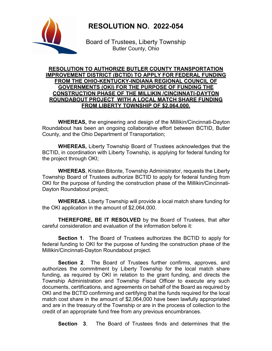# **RESOLUTION NO. 2022-054**



Board of Trustees, Liberty Township Butler County, Ohio

#### **RESOLUTION TO AUTHORIZE BUTLER COUNTY TRANSPORTATION IMPROVEMENT DISTRICT (BCTID) TO APPLY FOR FEDERAL FUNDING FROM THE OHIO-KENTUCKY-INDIANA REGIONAL COUNCIL OF GOVERNMENTS (OKI) FOR THE PURPOSE OF FUNDING THE CONSTRUCTION PHASE OF THE MILLIKIN /CINCINNATI-DAYTON ROUNDABOUT PROJECT WITH A LOCAL MATCH SHARE FUNDING FROM LIBERTY TOWNSHIP OF \$2,064,000.**

**WHEREAS,** the engineering and design of the Millikin/Cincinnati-Dayton Roundabout has been an ongoing collaborative effort between BCTID, Butler County, and the Ohio Department of Transportation;

**WHEREAS,** Liberty Township Board of Trustees acknowledges that the BCTID, in coordination with Liberty Township, is applying for federal funding for the project through OKI;

**WHEREAS**, Kristen Bitonte, Township Administrator, requests the Liberty Township Board of Trustees authorize BCTID to apply for federal funding from OKI for the purpose of funding the construction phase of the Millikin/Cincinnati-Dayton Roundabout project:

**WHEREAS**, Liberty Township will provide a local match share funding for the OKI application in the amount of \$2,064,000.

**THEREFORE, BE IT RESOLVED** by the Board of Trustees, that after careful consideration and evaluation of the information before it:

**Section 1**. The Board of Trustees authorizes the BCTID to apply for federal funding to OKI for the purpose of funding the construction phase of the Millikin/Cincinnati-Dayton Roundabout project.

**Section 2**. The Board of Trustees further confirms, approves, and authorizes the commitment by Liberty Township for the local match share funding, as required by OKI in relation to the grant funding, and directs the Township Administration and Township Fiscal Officer to execute any such documents, certifications, and agreements on behalf of the Board as required by OKI and the BCTID confirming and certifying that the funds required for the local match cost share in the amount of \$2,064,000 have been lawfully appropriated and are in the treasury of the Township or are in the process of collection to the credit of an appropriate fund free from any previous encumbrances.

**Section 3**. The Board of Trustees finds and determines that the